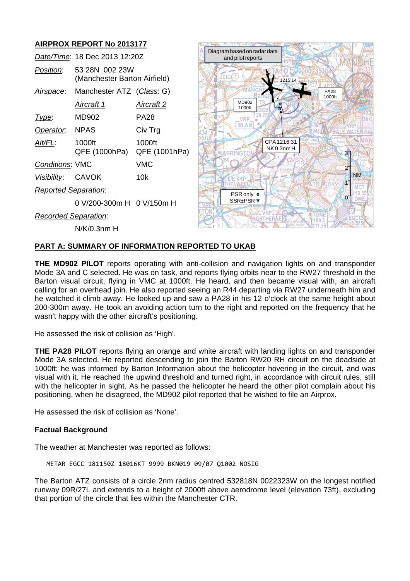# **AIRPROX REPORT No 2013177**

|                             | Date/Time: 18 Dec 2013 12:20Z                  |                         |
|-----------------------------|------------------------------------------------|-------------------------|
| <i>Position</i> :           | 53 28N 002 23W<br>(Manchester Barton Airfield) |                         |
| <u>Airspace:</u>            | Manchester ATZ (Class: G)                      |                         |
|                             | <u>Aircraft 1</u>                              | Aircraft 2              |
| <u>I ype:</u>               | MD902                                          | PA28                    |
| Operator: NPAS              |                                                | Civ Trg                 |
| <u>Alt/FL:</u>              | 1000ft<br>QFE (1000hPa)                        | 1000ft<br>QFE (1001hPa) |
| <b>Conditions: VMC</b>      |                                                | VMC                     |
| Visibility: CAVOK           |                                                | 10k                     |
| <b>Reported Separation:</b> |                                                |                         |
|                             | 0 V/200-300m H 0 V/150m H                      |                         |
| <b>Recorded Separation:</b> |                                                |                         |
|                             | N/K/0.3nm H                                    |                         |



# **PART A: SUMMARY OF INFORMATION REPORTED TO UKAB**

**THE MD902 PILOT** reports operating with anti-collision and navigation lights on and transponder Mode 3A and C selected. He was on task, and reports flying orbits near to the RW27 threshold in the Barton visual circuit, flying in VMC at 1000ft. He heard, and then became visual with, an aircraft calling for an overhead join. He also reported seeing an R44 departing via RW27 underneath him and he watched it climb away. He looked up and saw a PA28 in his 12 o'clock at the same height about 200-300m away. He took an avoiding action turn to the right and reported on the frequency that he wasn't happy with the other aircraft's positioning.

He assessed the risk of collision as 'High'.

**THE PA28 PILOT** reports flying an orange and white aircraft with landing lights on and transponder Mode 3A selected. He reported descending to join the Barton RW20 RH circuit on the deadside at 1000ft: he was informed by Barton Information about the helicopter hovering in the circuit, and was visual with it. He reached the upwind threshold and turned right, in accordance with circuit rules, still with the helicopter in sight. As he passed the helicopter he heard the other pilot complain about his positioning, when he disagreed, the MD902 pilot reported that he wished to file an Airprox.

He assessed the risk of collision as 'None'.

### **Factual Background**

The weather at Manchester was reported as follows:

METAR EGCC 181150Z 18016KT 9999 BKN019 09/07 Q1002 NOSIG

The Barton ATZ consists of a circle 2nm radius centred 532818N 0022323W on the longest notified runway 09R/27L and extends to a height of 2000ft above aerodrome level (elevation 73ft), excluding that portion of the circle that lies within the Manchester CTR.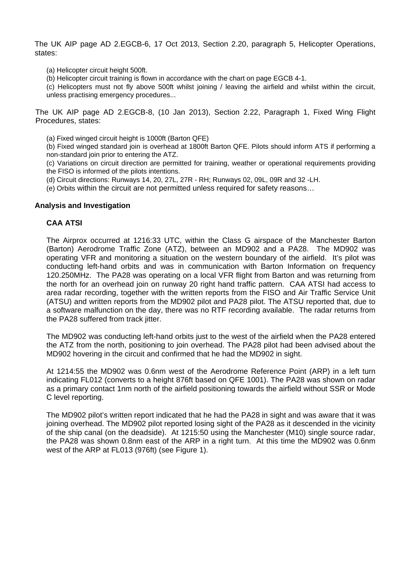The UK AIP page AD 2.EGCB-6, 17 Oct 2013, Section 2.20, paragraph 5, Helicopter Operations, states:

(a) Helicopter circuit height 500ft.

(b) Helicopter circuit training is flown in accordance with the chart on page EGCB 4-1.

(c) Helicopters must not fly above 500ft whilst joining / leaving the airfield and whilst within the circuit, unless practising emergency procedures...

The UK AIP page AD 2.EGCB-8, (10 Jan 2013), Section 2.22, Paragraph 1, Fixed Wing Flight Procedures, states:

(a) Fixed winged circuit height is 1000ft (Barton QFE)

(b) Fixed winged standard join is overhead at 1800ft Barton QFE. Pilots should inform ATS if performing a non-standard join prior to entering the ATZ.

(c) Variations on circuit direction are permitted for training, weather or operational requirements providing the FISO is informed of the pilots intentions.

(d) Circuit directions: Runways 14, 20, 27L, 27R - RH; Runways 02, 09L, 09R and 32 -LH.

(e) Orbits within the circuit are not permitted unless required for safety reasons…

#### **Analysis and Investigation**

#### **CAA ATSI**

The Airprox occurred at 1216:33 UTC, within the Class G airspace of the Manchester Barton (Barton) Aerodrome Traffic Zone (ATZ), between an MD902 and a PA28. The MD902 was operating VFR and monitoring a situation on the western boundary of the airfield. It's pilot was conducting left-hand orbits and was in communication with Barton Information on frequency 120.250MHz. The PA28 was operating on a local VFR flight from Barton and was returning from the north for an overhead join on runway 20 right hand traffic pattern. CAA ATSI had access to area radar recording, together with the written reports from the FISO and Air Traffic Service Unit (ATSU) and written reports from the MD902 pilot and PA28 pilot. The ATSU reported that, due to a software malfunction on the day, there was no RTF recording available. The radar returns from the PA28 suffered from track jitter.

The MD902 was conducting left-hand orbits just to the west of the airfield when the PA28 entered the ATZ from the north, positioning to join overhead. The PA28 pilot had been advised about the MD902 hovering in the circuit and confirmed that he had the MD902 in sight.

At 1214:55 the MD902 was 0.6nm west of the Aerodrome Reference Point (ARP) in a left turn indicating FL012 (converts to a height 876ft based on QFE 1001). The PA28 was shown on radar as a primary contact 1nm north of the airfield positioning towards the airfield without SSR or Mode C level reporting.

The MD902 pilot's written report indicated that he had the PA28 in sight and was aware that it was joining overhead. The MD902 pilot reported losing sight of the PA28 as it descended in the vicinity of the ship canal (on the deadside). At 1215:50 using the Manchester (M10) single source radar, the PA28 was shown 0.8nm east of the ARP in a right turn. At this time the MD902 was 0.6nm west of the ARP at FL013 (976ft) (see Figure 1).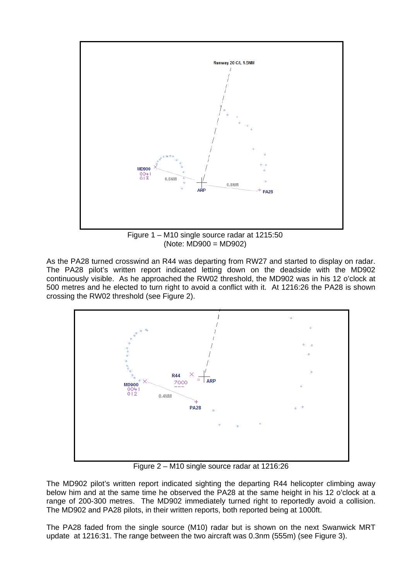

Figure 1 – M10 single source radar at 1215:50 (Note: MD900 = MD902)

As the PA28 turned crosswind an R44 was departing from RW27 and started to display on radar. The PA28 pilot's written report indicated letting down on the deadside with the MD902 continuously visible. As he approached the RW02 threshold, the MD902 was in his 12 o'clock at 500 metres and he elected to turn right to avoid a conflict with it. At 1216:26 the PA28 is shown crossing the RW02 threshold (see Figure 2).



Figure 2 – M10 single source radar at 1216:26

The MD902 pilot's written report indicated sighting the departing R44 helicopter climbing away below him and at the same time he observed the PA28 at the same height in his 12 o'clock at a range of 200-300 metres. The MD902 immediately turned right to reportedly avoid a collision. The MD902 and PA28 pilots, in their written reports, both reported being at 1000ft.

The PA28 faded from the single source (M10) radar but is shown on the next Swanwick MRT update at 1216:31. The range between the two aircraft was 0.3nm (555m) (see Figure 3).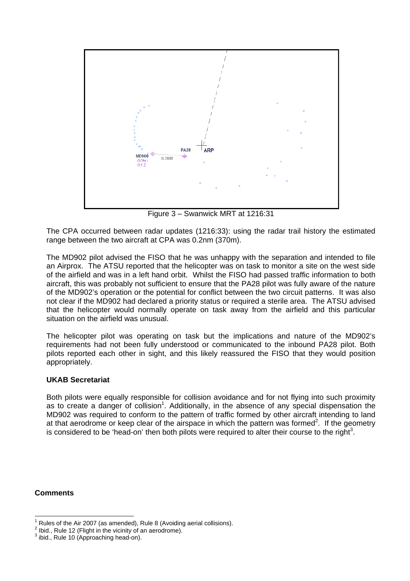

Figure 3 – Swanwick MRT at 1216:31

The CPA occurred between radar updates (1216:33): using the radar trail history the estimated range between the two aircraft at CPA was 0.2nm (370m).

The MD902 pilot advised the FISO that he was unhappy with the separation and intended to file an Airprox. The ATSU reported that the helicopter was on task to monitor a site on the west side of the airfield and was in a left hand orbit. Whilst the FISO had passed traffic information to both aircraft, this was probably not sufficient to ensure that the PA28 pilot was fully aware of the nature of the MD902's operation or the potential for conflict between the two circuit patterns. It was also not clear if the MD902 had declared a priority status or required a sterile area. The ATSU advised that the helicopter would normally operate on task away from the airfield and this particular situation on the airfield was unusual.

The helicopter pilot was operating on task but the implications and nature of the MD902's requirements had not been fully understood or communicated to the inbound PA28 pilot. Both pilots reported each other in sight, and this likely reassured the FISO that they would position appropriately.

### **UKAB Secretariat**

Both pilots were equally responsible for collision avoidance and for not flying into such proximity as to create a danger of collision<sup>1</sup>. Additionally, in the absence of any special dispensation the MD902 was required to conform to the pattern of traffic formed by other aircraft intending to land at that aerodrome or keep clear of the airspace in which the pattern was formed<sup>2</sup>. If the geometry is considered to be 'head-on' then both pilots were required to alter their course to the right<sup>3</sup>.

#### **Comments**

<sup>1</sup> Rules of the Air 2007 (as amended), Rule 8 (Avoiding aerial collisions).

 $2$  Ibid., Rule 12 (Flight in the vicinity of an aerodrome).

<sup>&</sup>lt;sup>3</sup> ibid., Rule 10 (Approaching head-on).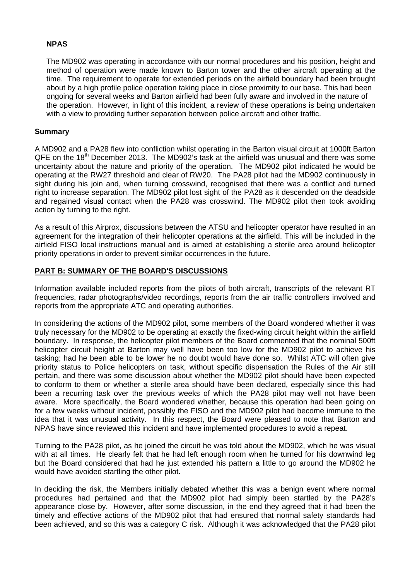# **NPAS**

The MD902 was operating in accordance with our normal procedures and his position, height and method of operation were made known to Barton tower and the other aircraft operating at the time. The requirement to operate for extended periods on the airfield boundary had been brought about by a high profile police operation taking place in close proximity to our base. This had been ongoing for several weeks and Barton airfield had been fully aware and involved in the nature of the operation. However, in light of this incident, a review of these operations is being undertaken with a view to providing further separation between police aircraft and other traffic.

### **Summary**

A MD902 and a PA28 flew into confliction whilst operating in the Barton visual circuit at 1000ft Barton QFE on the 18<sup>th</sup> December 2013. The MD902's task at the airfield was unusual and there was some uncertainty about the nature and priority of the operation. The MD902 pilot indicated he would be operating at the RW27 threshold and clear of RW20. The PA28 pilot had the MD902 continuously in sight during his join and, when turning crosswind, recognised that there was a conflict and turned right to increase separation. The MD902 pilot lost sight of the PA28 as it descended on the deadside and regained visual contact when the PA28 was crosswind. The MD902 pilot then took avoiding action by turning to the right.

As a result of this Airprox, discussions between the ATSU and helicopter operator have resulted in an agreement for the integration of their helicopter operations at the airfield. This will be included in the airfield FISO local instructions manual and is aimed at establishing a sterile area around helicopter priority operations in order to prevent similar occurrences in the future.

### **PART B: SUMMARY OF THE BOARD'S DISCUSSIONS**

Information available included reports from the pilots of both aircraft, transcripts of the relevant RT frequencies, radar photographs/video recordings, reports from the air traffic controllers involved and reports from the appropriate ATC and operating authorities.

In considering the actions of the MD902 pilot, some members of the Board wondered whether it was truly necessary for the MD902 to be operating at exactly the fixed-wing circuit height within the airfield boundary. In response, the helicopter pilot members of the Board commented that the nominal 500ft helicopter circuit height at Barton may well have been too low for the MD902 pilot to achieve his tasking; had he been able to be lower he no doubt would have done so. Whilst ATC will often give priority status to Police helicopters on task, without specific dispensation the Rules of the Air still pertain, and there was some discussion about whether the MD902 pilot should have been expected to conform to them or whether a sterile area should have been declared, especially since this had been a recurring task over the previous weeks of which the PA28 pilot may well not have been aware. More specifically, the Board wondered whether, because this operation had been going on for a few weeks without incident, possibly the FISO and the MD902 pilot had become immune to the idea that it was unusual activity. In this respect, the Board were pleased to note that Barton and NPAS have since reviewed this incident and have implemented procedures to avoid a repeat.

Turning to the PA28 pilot, as he joined the circuit he was told about the MD902, which he was visual with at all times. He clearly felt that he had left enough room when he turned for his downwind leg but the Board considered that had he just extended his pattern a little to go around the MD902 he would have avoided startling the other pilot.

In deciding the risk, the Members initially debated whether this was a benign event where normal procedures had pertained and that the MD902 pilot had simply been startled by the PA28's appearance close by. However, after some discussion, in the end they agreed that it had been the timely and effective actions of the MD902 pilot that had ensured that normal safety standards had been achieved, and so this was a category C risk. Although it was acknowledged that the PA28 pilot